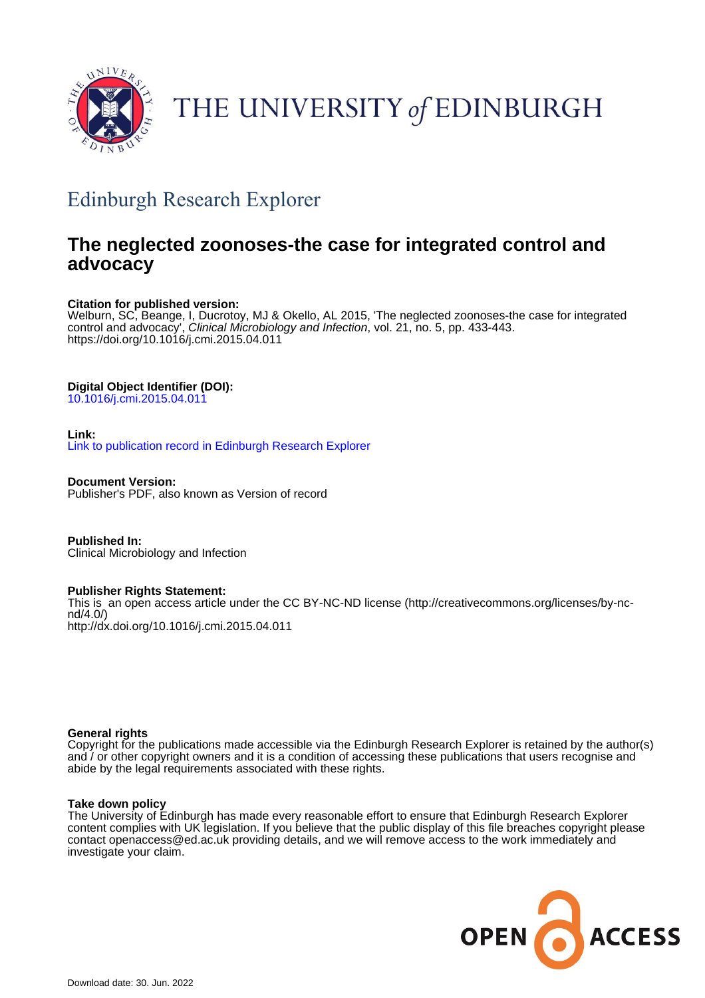

# THE UNIVERSITY of EDINBURGH

## Edinburgh Research Explorer

## **The neglected zoonoses-the case for integrated control and advocacy**

## **Citation for published version:**

Welburn, SC, Beange, I, Ducrotoy, MJ & Okello, AL 2015, 'The neglected zoonoses-the case for integrated control and advocacy', Clinical Microbiology and Infection, vol. 21, no. 5, pp. 433-443. <https://doi.org/10.1016/j.cmi.2015.04.011>

## **Digital Object Identifier (DOI):**

[10.1016/j.cmi.2015.04.011](https://doi.org/10.1016/j.cmi.2015.04.011)

## **Link:**

[Link to publication record in Edinburgh Research Explorer](https://www.research.ed.ac.uk/en/publications/d6f94e1a-af2c-44b9-bb9f-58479f942d48)

**Document Version:** Publisher's PDF, also known as Version of record

**Published In:** Clinical Microbiology and Infection

## **Publisher Rights Statement:**

This is an open access article under the CC BY-NC-ND license (http://creativecommons.org/licenses/by-ncnd/4.0/) http://dx.doi.org/10.1016/j.cmi.2015.04.011

## **General rights**

Copyright for the publications made accessible via the Edinburgh Research Explorer is retained by the author(s) and / or other copyright owners and it is a condition of accessing these publications that users recognise and abide by the legal requirements associated with these rights.

## **Take down policy**

The University of Edinburgh has made every reasonable effort to ensure that Edinburgh Research Explorer content complies with UK legislation. If you believe that the public display of this file breaches copyright please contact openaccess@ed.ac.uk providing details, and we will remove access to the work immediately and investigate your claim.

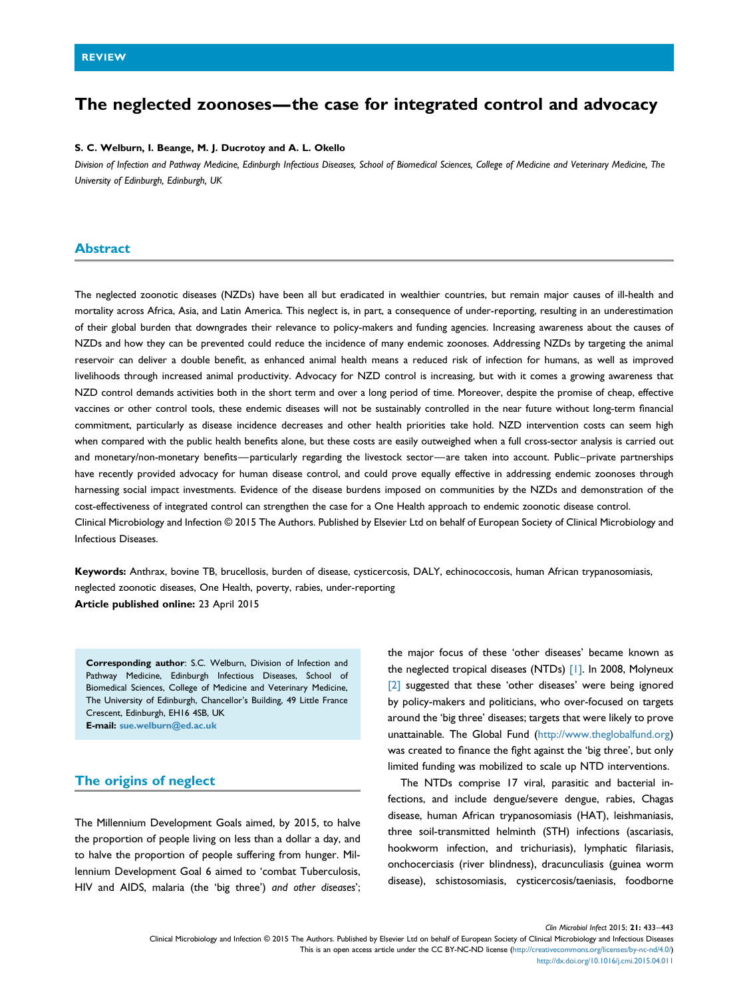## The neglected zoonoses—the case for integrated control and advocacy

#### S. C. Welburn, I. Beange, M. J. Ducrotoy and A. L. Okello

Division of Infection and Pathway Medicine, Edinburgh Infectious Diseases, School of Biomedical Sciences, College of Medicine and Veterinary Medicine, The University of Edinburgh, Edinburgh, UK

#### Abstract

The neglected zoonotic diseases (NZDs) have been all but eradicated in wealthier countries, but remain major causes of ill-health and mortality across Africa, Asia, and Latin America. This neglect is, in part, a consequence of under-reporting, resulting in an underestimation of their global burden that downgrades their relevance to policy-makers and funding agencies. Increasing awareness about the causes of NZDs and how they can be prevented could reduce the incidence of many endemic zoonoses. Addressing NZDs by targeting the animal reservoir can deliver a double benefit, as enhanced animal health means a reduced risk of infection for humans, as well as improved livelihoods through increased animal productivity. Advocacy for NZD control is increasing, but with it comes a growing awareness that NZD control demands activities both in the short term and over a long period of time. Moreover, despite the promise of cheap, effective vaccines or other control tools, these endemic diseases will not be sustainably controlled in the near future without long-term financial commitment, particularly as disease incidence decreases and other health priorities take hold. NZD intervention costs can seem high when compared with the public health benefits alone, but these costs are easily outweighed when a full cross-sector analysis is carried out and monetary/non-monetary benefits—particularly regarding the livestock sector—are taken into account. Public–private partnerships have recently provided advocacy for human disease control, and could prove equally effective in addressing endemic zoonoses through harnessing social impact investments. Evidence of the disease burdens imposed on communities by the NZDs and demonstration of the cost-effectiveness of integrated control can strengthen the case for a One Health approach to endemic zoonotic disease control. Clinical Microbiology and Infection © 2015 The Authors. Published by Elsevier Ltd on behalf of European Society of Clinical Microbiology and Infectious Diseases.

Keywords: Anthrax, bovine TB, brucellosis, burden of disease, cysticercosis, DALY, echinococcosis, human African trypanosomiasis, neglected zoonotic diseases, One Health, poverty, rabies, under-reporting Article published online: 23 April 2015

Corresponding author: S.C. Welburn, Division of Infection and Pathway Medicine, Edinburgh Infectious Diseases, School of Biomedical Sciences, College of Medicine and Veterinary Medicine, The University of Edinburgh, Chancellor's Building, 49 Little France Crescent, Edinburgh, EH16 4SB, UK E-mail: [sue.welburn@ed.ac.uk](mailto:sue.welburn@ed.ac.uk)

## The origins of neglect

The Millennium Development Goals aimed, by 2015, to halve the proportion of people living on less than a dollar a day, and to halve the proportion of people suffering from hunger. Millennium Development Goal 6 aimed to 'combat Tuberculosis, HIV and AIDS, malaria (the 'big three') and other diseases'; the major focus of these 'other diseases' became known as the neglected tropical diseases (NTDs) [\[1\]](#page-9-0). In 2008, Molyneux [\[2\]](#page-9-0) suggested that these 'other diseases' were being ignored by policy-makers and politicians, who over-focused on targets around the 'big three' diseases; targets that were likely to prove unattainable. The Global Fund ([http://www.theglobalfund.org\)](http://www.theglobalfund.org) was created to finance the fight against the 'big three', but only limited funding was mobilized to scale up NTD interventions.

The NTDs comprise 17 viral, parasitic and bacterial infections, and include dengue/severe dengue, rabies, Chagas disease, human African trypanosomiasis (HAT), leishmaniasis, three soil-transmitted helminth (STH) infections (ascariasis, hookworm infection, and trichuriasis), lymphatic filariasis, onchocerciasis (river blindness), dracunculiasis (guinea worm disease), schistosomiasis, cysticercosis/taeniasis, foodborne

Clinical Microbiology and Infection © 2015 The Authors. Published by Elsevier Ltd on behalf of European Society of Clinical Microbiology and Infectious Diseases

This is an open access article under the CC BY-NC-ND license ([http://creativecommons.org/licenses/by-nc-nd/4.0/\)](http://creativecommons.org/licenses/by-nc-nd/4.�0/)

<http://dx.doi.org/10.1016/j.cmi.2015.04.011>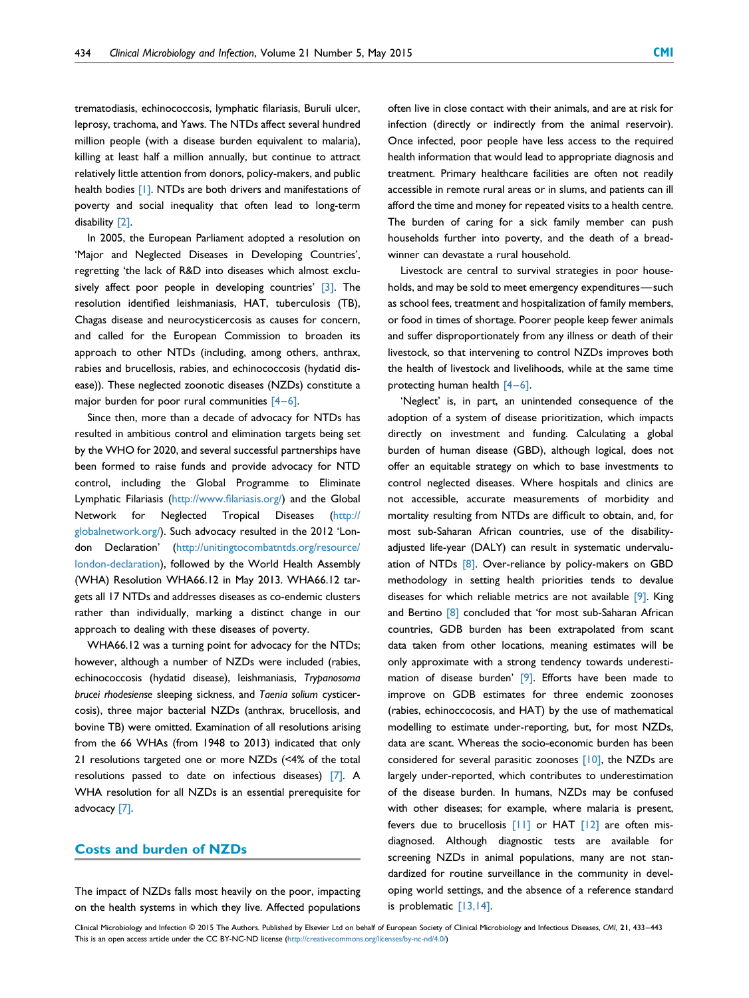trematodiasis, echinococcosis, lymphatic filariasis, Buruli ulcer, leprosy, trachoma, and Yaws. The NTDs affect several hundred million people (with a disease burden equivalent to malaria), killing at least half a million annually, but continue to attract relatively little attention from donors, policy-makers, and public health bodies [\[1\]](#page-9-0). NTDs are both drivers and manifestations of poverty and social inequality that often lead to long-term disability [\[2\]](#page-9-0).

In 2005, the European Parliament adopted a resolution on 'Major and Neglected Diseases in Developing Countries', regretting 'the lack of R&D into diseases which almost exclu-sively affect poor people in developing countries' [\[3\].](#page-9-0) The resolution identified leishmaniasis, HAT, tuberculosis (TB), Chagas disease and neurocysticercosis as causes for concern, and called for the European Commission to broaden its approach to other NTDs (including, among others, anthrax, rabies and brucellosis, rabies, and echinococcosis (hydatid disease)). These neglected zoonotic diseases (NZDs) constitute a major burden for poor rural communities  $[4-6]$  $[4-6]$ .

Since then, more than a decade of advocacy for NTDs has resulted in ambitious control and elimination targets being set by the WHO for 2020, and several successful partnerships have been formed to raise funds and provide advocacy for NTD control, including the Global Programme to Eliminate Lymphatic Filariasis ([http://www.](http://www.filariasis.org/)filariasis.org/) and the Global Network for Neglected Tropical Diseases [\(http://](http://globalnetwork.org/) [globalnetwork.org/](http://globalnetwork.org/)). Such advocacy resulted in the 2012 'London Declaration' [\(http://unitingtocombatntds.org/resource/](http://unitingtocombatntds.org/resource/london-declaration) [london-declaration](http://unitingtocombatntds.org/resource/london-declaration)), followed by the World Health Assembly (WHA) Resolution WHA66.12 in May 2013. WHA66.12 targets all 17 NTDs and addresses diseases as co-endemic clusters rather than individually, marking a distinct change in our approach to dealing with these diseases of poverty.

WHA66.12 was a turning point for advocacy for the NTDs; however, although a number of NZDs were included (rabies, echinococcosis (hydatid disease), leishmaniasis, Trypanosoma brucei rhodesiense sleeping sickness, and Taenia solium cysticercosis), three major bacterial NZDs (anthrax, brucellosis, and bovine TB) were omitted. Examination of all resolutions arising from the 66 WHAs (from 1948 to 2013) indicated that only 21 resolutions targeted one or more NZDs (<4% of the total resolutions passed to date on infectious diseases) [\[7\].](#page-9-0) A WHA resolution for all NZDs is an essential prerequisite for advocacy [\[7\]](#page-9-0).

## Costs and burden of NZDs

The impact of NZDs falls most heavily on the poor, impacting on the health systems in which they live. Affected populations

often live in close contact with their animals, and are at risk for infection (directly or indirectly from the animal reservoir). Once infected, poor people have less access to the required health information that would lead to appropriate diagnosis and treatment. Primary healthcare facilities are often not readily accessible in remote rural areas or in slums, and patients can ill afford the time and money for repeated visits to a health centre. The burden of caring for a sick family member can push households further into poverty, and the death of a breadwinner can devastate a rural household.

Livestock are central to survival strategies in poor households, and may be sold to meet emergency expenditures—such as school fees, treatment and hospitalization of family members, or food in times of shortage. Poorer people keep fewer animals and suffer disproportionately from any illness or death of their livestock, so that intervening to control NZDs improves both the health of livestock and livelihoods, while at the same time protecting human health [\[4](#page-9-0)–6].

'Neglect' is, in part, an unintended consequence of the adoption of a system of disease prioritization, which impacts directly on investment and funding. Calculating a global burden of human disease (GBD), although logical, does not offer an equitable strategy on which to base investments to control neglected diseases. Where hospitals and clinics are not accessible, accurate measurements of morbidity and mortality resulting from NTDs are difficult to obtain, and, for most sub-Saharan African countries, use of the disabilityadjusted life-year (DALY) can result in systematic undervalu-ation of NTDs [\[8\]](#page-9-0). Over-reliance by policy-makers on GBD methodology in setting health priorities tends to devalue diseases for which reliable metrics are not available [\[9\]](#page-9-0). King and Bertino [\[8\]](#page-9-0) concluded that 'for most sub-Saharan African countries, GDB burden has been extrapolated from scant data taken from other locations, meaning estimates will be only approximate with a strong tendency towards underesti-mation of disease burden' [\[9\]](#page-9-0). Efforts have been made to improve on GDB estimates for three endemic zoonoses (rabies, echinoccocosis, and HAT) by the use of mathematical modelling to estimate under-reporting, but, for most NZDs, data are scant. Whereas the socio-economic burden has been considered for several parasitic zoonoses [\[10\]](#page-9-0), the NZDs are largely under-reported, which contributes to underestimation of the disease burden. In humans, NZDs may be confused with other diseases; for example, where malaria is present, fevers due to brucellosis [\[11\]](#page-9-0) or HAT [\[12\]](#page-9-0) are often misdiagnosed. Although diagnostic tests are available for screening NZDs in animal populations, many are not standardized for routine surveillance in the community in developing world settings, and the absence of a reference standard is problematic [\[13,14\].](#page-9-0)

Clinical Microbiology and Infection © 2015 The Authors. Published by Elsevier Ltd on behalf of European Society of Clinical Microbiology and Infectious Diseases, CMI, 21, 433–443 This is an open access article under the CC BY-NC-ND license ([http://creativecommons.org/licenses/by-nc-nd/4.0/\)](http://creativecommons.org/licenses/by-nc-nd/4.�0/)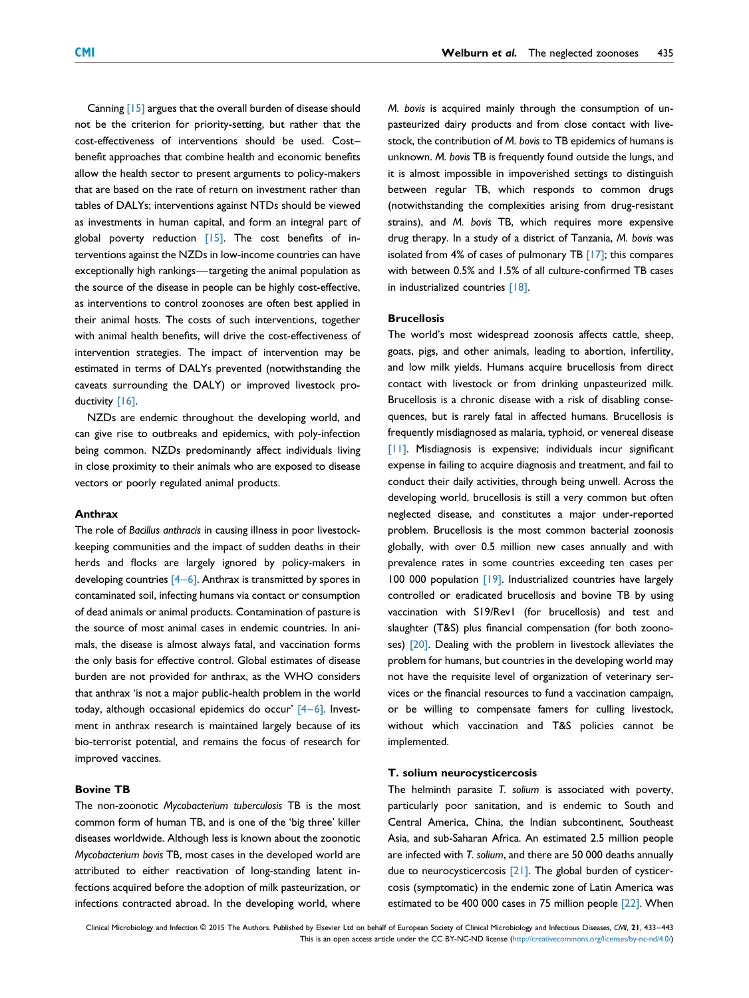Canning [\[15\]](#page-9-0) argues that the overall burden of disease should not be the criterion for priority-setting, but rather that the cost-effectiveness of interventions should be used. Cost– benefit approaches that combine health and economic benefits allow the health sector to present arguments to policy-makers that are based on the rate of return on investment rather than tables of DALYs; interventions against NTDs should be viewed as investments in human capital, and form an integral part of global poverty reduction  $[15]$ . The cost benefits of interventions against the NZDs in low-income countries can have exceptionally high rankings—targeting the animal population as the source of the disease in people can be highly cost-effective, as interventions to control zoonoses are often best applied in their animal hosts. The costs of such interventions, together with animal health benefits, will drive the cost-effectiveness of intervention strategies. The impact of intervention may be estimated in terms of DALYs prevented (notwithstanding the caveats surrounding the DALY) or improved livestock pro-ductivity [\[16\].](#page-9-0)

NZDs are endemic throughout the developing world, and can give rise to outbreaks and epidemics, with poly-infection being common. NZDs predominantly affect individuals living in close proximity to their animals who are exposed to disease vectors or poorly regulated animal products.

#### Anthrax

The role of Bacillus anthracis in causing illness in poor livestockkeeping communities and the impact of sudden deaths in their herds and flocks are largely ignored by policy-makers in developing countries  $[4-6]$ . Anthrax is transmitted by spores in contaminated soil, infecting humans via contact or consumption of dead animals or animal products. Contamination of pasture is the source of most animal cases in endemic countries. In animals, the disease is almost always fatal, and vaccination forms the only basis for effective control. Global estimates of disease burden are not provided for anthrax, as the WHO considers that anthrax 'is not a major public-health problem in the world today, although occasional epidemics do occur'  $[4-6]$  $[4-6]$ . Investment in anthrax research is maintained largely because of its bio-terrorist potential, and remains the focus of research for improved vaccines.

#### Bovine TB

The non-zoonotic Mycobacterium tuberculosis TB is the most common form of human TB, and is one of the 'big three' killer diseases worldwide. Although less is known about the zoonotic Mycobacterium bovis TB, most cases in the developed world are attributed to either reactivation of long-standing latent infections acquired before the adoption of milk pasteurization, or infections contracted abroad. In the developing world, where M. bovis is acquired mainly through the consumption of unpasteurized dairy products and from close contact with livestock, the contribution of M. bovis to TB epidemics of humans is unknown. M. bovis TB is frequently found outside the lungs, and it is almost impossible in impoverished settings to distinguish between regular TB, which responds to common drugs (notwithstanding the complexities arising from drug-resistant strains), and M. bovis TB, which requires more expensive drug therapy. In a study of a district of Tanzania, M. bovis was isolated from 4% of cases of pulmonary TB  $[17]$ ; this compares with between 0.5% and 1.5% of all culture-confirmed TB cases in industrialized countries [\[18\].](#page-9-0)

#### **Brucellosis**

The world's most widespread zoonosis affects cattle, sheep, goats, pigs, and other animals, leading to abortion, infertility, and low milk yields. Humans acquire brucellosis from direct contact with livestock or from drinking unpasteurized milk. Brucellosis is a chronic disease with a risk of disabling consequences, but is rarely fatal in affected humans. Brucellosis is frequently misdiagnosed as malaria, typhoid, or venereal disease [\[11\]](#page-9-0). Misdiagnosis is expensive; individuals incur significant expense in failing to acquire diagnosis and treatment, and fail to conduct their daily activities, through being unwell. Across the developing world, brucellosis is still a very common but often neglected disease, and constitutes a major under-reported problem. Brucellosis is the most common bacterial zoonosis globally, with over 0.5 million new cases annually and with prevalence rates in some countries exceeding ten cases per 100 000 population [\[19\]](#page-9-0). Industrialized countries have largely controlled or eradicated brucellosis and bovine TB by using vaccination with S19/Rev1 (for brucellosis) and test and slaughter (T&S) plus financial compensation (for both zoono-ses) [\[20\].](#page-9-0) Dealing with the problem in livestock alleviates the problem for humans, but countries in the developing world may not have the requisite level of organization of veterinary services or the financial resources to fund a vaccination campaign, or be willing to compensate famers for culling livestock, without which vaccination and T&S policies cannot be implemented.

#### T. solium neurocysticercosis

The helminth parasite T. solium is associated with poverty, particularly poor sanitation, and is endemic to South and Central America, China, the Indian subcontinent, Southeast Asia, and sub-Saharan Africa. An estimated 2.5 million people are infected with T. solium, and there are 50 000 deaths annually due to neurocysticercosis [\[21\]](#page-9-0). The global burden of cysticercosis (symptomatic) in the endemic zone of Latin America was estimated to be 400 000 cases in 75 million people [\[22\].](#page-9-0) When

Clinical Microbiology and Infection © 2015 The Authors. Published by Elsevier Ltd on behalf of European Society of Clinical Microbiology and Infectious Diseases, CMI, 21, 433-443 This is an open access article under the CC BY-NC-ND license ([http://creativecommons.org/licenses/by-nc-nd/4.0/\)](http://creativecommons.org/licenses/by-nc-nd/4.�0/)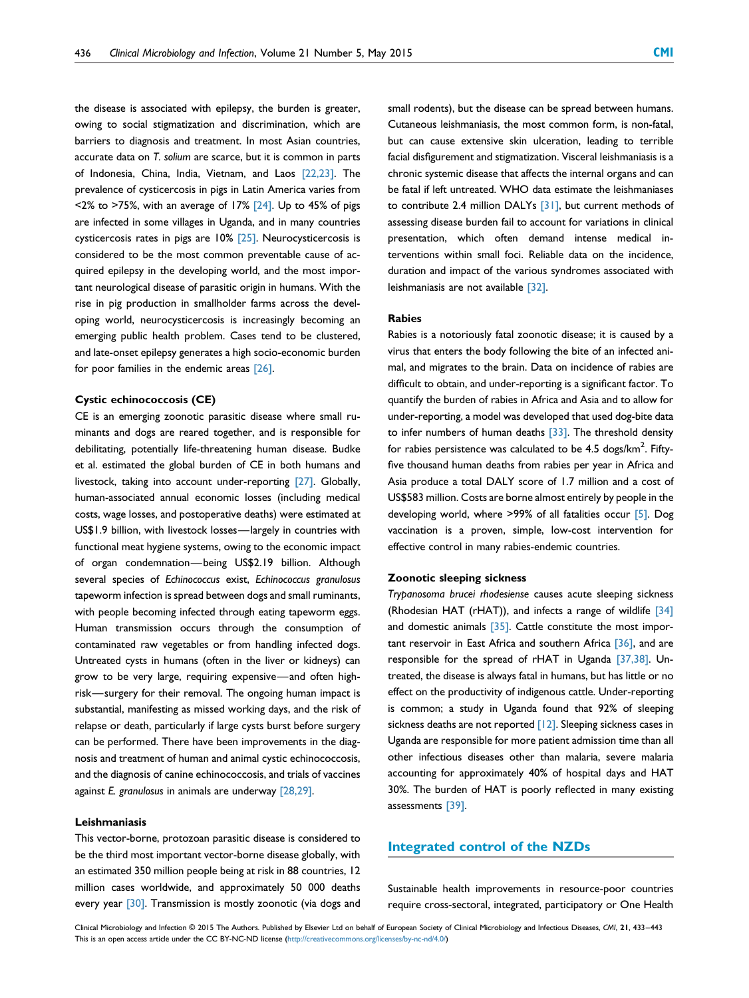the disease is associated with epilepsy, the burden is greater, owing to social stigmatization and discrimination, which are barriers to diagnosis and treatment. In most Asian countries, accurate data on T. solium are scarce, but it is common in parts of Indonesia, China, India, Vietnam, and Laos [\[22,23\].](#page-9-0) The prevalence of cysticercosis in pigs in Latin America varies from  $\leq$ 2% to  $\geq$ 75%, with an average of 17%  $\lceil$ 24]. Up to 45% of pigs are infected in some villages in Uganda, and in many countries cysticercosis rates in pigs are 10% [\[25\].](#page-9-0) Neurocysticercosis is considered to be the most common preventable cause of acquired epilepsy in the developing world, and the most important neurological disease of parasitic origin in humans. With the rise in pig production in smallholder farms across the developing world, neurocysticercosis is increasingly becoming an emerging public health problem. Cases tend to be clustered, and late-onset epilepsy generates a high socio-economic burden for poor families in the endemic areas [\[26\].](#page-9-0)

#### Cystic echinococcosis (CE)

CE is an emerging zoonotic parasitic disease where small ruminants and dogs are reared together, and is responsible for debilitating, potentially life-threatening human disease. Budke et al. estimated the global burden of CE in both humans and livestock, taking into account under-reporting [\[27\]](#page-9-0). Globally, human-associated annual economic losses (including medical costs, wage losses, and postoperative deaths) were estimated at US\$1.9 billion, with livestock losses—largely in countries with functional meat hygiene systems, owing to the economic impact of organ condemnation—being US\$2.19 billion. Although several species of Echinococcus exist, Echinococcus granulosus tapeworm infection is spread between dogs and small ruminants, with people becoming infected through eating tapeworm eggs. Human transmission occurs through the consumption of contaminated raw vegetables or from handling infected dogs. Untreated cysts in humans (often in the liver or kidneys) can grow to be very large, requiring expensive—and often highrisk—surgery for their removal. The ongoing human impact is substantial, manifesting as missed working days, and the risk of relapse or death, particularly if large cysts burst before surgery can be performed. There have been improvements in the diagnosis and treatment of human and animal cystic echinococcosis, and the diagnosis of canine echinococcosis, and trials of vaccines against E. granulosus in animals are underway [\[28,29\]](#page-10-0).

#### Leishmaniasis

This vector-borne, protozoan parasitic disease is considered to be the third most important vector-borne disease globally, with an estimated 350 million people being at risk in 88 countries, 12 million cases worldwide, and approximately 50 000 deaths every year [\[30\]](#page-10-0). Transmission is mostly zoonotic (via dogs and small rodents), but the disease can be spread between humans. Cutaneous leishmaniasis, the most common form, is non-fatal, but can cause extensive skin ulceration, leading to terrible facial disfigurement and stigmatization. Visceral leishmaniasis is a chronic systemic disease that affects the internal organs and can be fatal if left untreated. WHO data estimate the leishmaniases to contribute 2.4 million DALYs [\[31\],](#page-10-0) but current methods of assessing disease burden fail to account for variations in clinical presentation, which often demand intense medical interventions within small foci. Reliable data on the incidence, duration and impact of the various syndromes associated with leishmaniasis are not available [\[32\]](#page-10-0).

#### Rabies

Rabies is a notoriously fatal zoonotic disease; it is caused by a virus that enters the body following the bite of an infected animal, and migrates to the brain. Data on incidence of rabies are difficult to obtain, and under-reporting is a significant factor. To quantify the burden of rabies in Africa and Asia and to allow for under-reporting, a model was developed that used dog-bite data to infer numbers of human deaths  $[33]$ . The threshold density for rabies persistence was calculated to be 4.5 dogs/km $^2$ . Fiftyfive thousand human deaths from rabies per year in Africa and Asia produce a total DALY score of 1.7 million and a cost of US\$583 million. Costs are borne almost entirely by people in the developing world, where >99% of all fatalities occur [\[5\]](#page-9-0). Dog vaccination is a proven, simple, low-cost intervention for effective control in many rabies-endemic countries.

#### Zoonotic sleeping sickness

Trypanosoma brucei rhodesiense causes acute sleeping sickness (Rhodesian HAT ( $r$ HAT)), and infects a range of wildlife  $\sqrt{34}$ and domestic animals [\[35\].](#page-10-0) Cattle constitute the most impor-tant reservoir in East Africa and southern Africa [\[36\]](#page-10-0), and are responsible for the spread of rHAT in Uganda [\[37,38\].](#page-10-0) Untreated, the disease is always fatal in humans, but has little or no effect on the productivity of indigenous cattle. Under-reporting is common; a study in Uganda found that 92% of sleeping sickness deaths are not reported [\[12\]](#page-9-0). Sleeping sickness cases in Uganda are responsible for more patient admission time than all other infectious diseases other than malaria, severe malaria accounting for approximately 40% of hospital days and HAT 30%. The burden of HAT is poorly reflected in many existing assessments [\[39\].](#page-10-0)

## Integrated control of the NZDs

Sustainable health improvements in resource-poor countries require cross-sectoral, integrated, participatory or One Health

Clinical Microbiology and Infection © 2015 The Authors. Published by Elsevier Ltd on behalf of European Society of Clinical Microbiology and Infectious Diseases, CMI, 21, 433–443 This is an open access article under the CC BY-NC-ND license ([http://creativecommons.org/licenses/by-nc-nd/4.0/\)](http://creativecommons.org/licenses/by-nc-nd/4.�0/)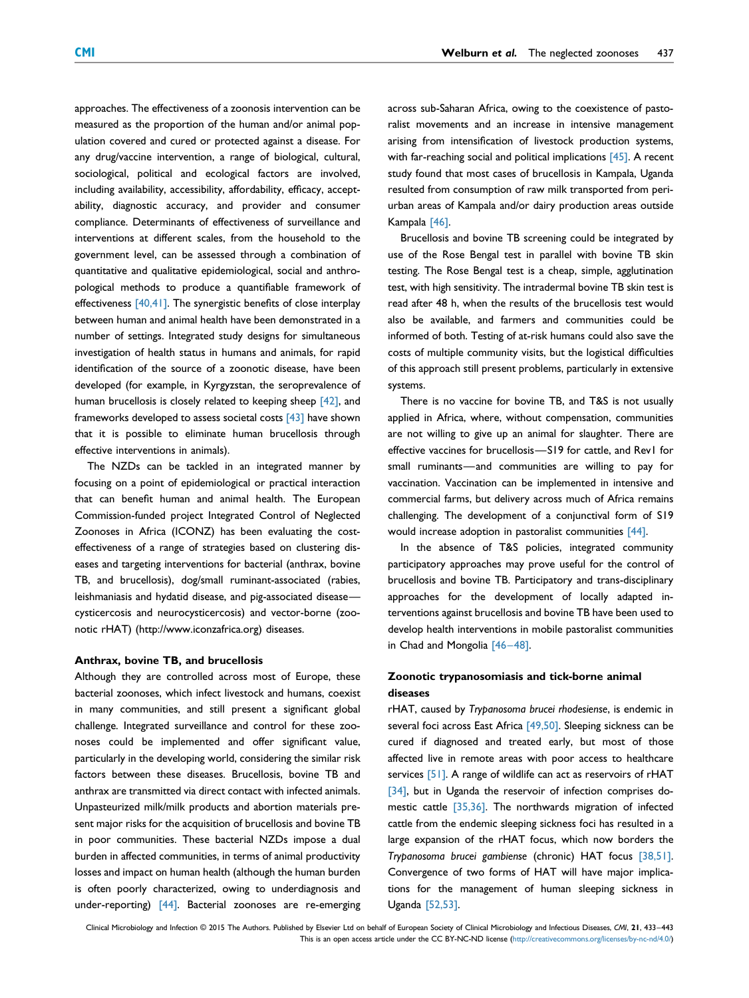approaches. The effectiveness of a zoonosis intervention can be measured as the proportion of the human and/or animal population covered and cured or protected against a disease. For any drug/vaccine intervention, a range of biological, cultural, sociological, political and ecological factors are involved, including availability, accessibility, affordability, efficacy, acceptability, diagnostic accuracy, and provider and consumer compliance. Determinants of effectiveness of surveillance and interventions at different scales, from the household to the government level, can be assessed through a combination of quantitative and qualitative epidemiological, social and anthropological methods to produce a quantifiable framework of effectiveness [\[40,41\]](#page-10-0). The synergistic benefits of close interplay between human and animal health have been demonstrated in a number of settings. Integrated study designs for simultaneous investigation of health status in humans and animals, for rapid identification of the source of a zoonotic disease, have been developed (for example, in Kyrgyzstan, the seroprevalence of human brucellosis is closely related to keeping sheep [\[42\]](#page-10-0), and frameworks developed to assess societal costs  $[43]$  have shown that it is possible to eliminate human brucellosis through effective interventions in animals).

The NZDs can be tackled in an integrated manner by focusing on a point of epidemiological or practical interaction that can benefit human and animal health. The European Commission-funded project Integrated Control of Neglected Zoonoses in Africa (ICONZ) has been evaluating the costeffectiveness of a range of strategies based on clustering diseases and targeting interventions for bacterial (anthrax, bovine TB, and brucellosis), dog/small ruminant-associated (rabies, leishmaniasis and hydatid disease, and pig-associated disease cysticercosis and neurocysticercosis) and vector-borne (zoonotic rHAT) (http://www.iconzafrica.org) diseases.

#### Anthrax, bovine TB, and brucellosis

Although they are controlled across most of Europe, these bacterial zoonoses, which infect livestock and humans, coexist in many communities, and still present a significant global challenge. Integrated surveillance and control for these zoonoses could be implemented and offer significant value, particularly in the developing world, considering the similar risk factors between these diseases. Brucellosis, bovine TB and anthrax are transmitted via direct contact with infected animals. Unpasteurized milk/milk products and abortion materials present major risks for the acquisition of brucellosis and bovine TB in poor communities. These bacterial NZDs impose a dual burden in affected communities, in terms of animal productivity losses and impact on human health (although the human burden is often poorly characterized, owing to underdiagnosis and under-reporting) [\[44\].](#page-10-0) Bacterial zoonoses are re-emerging

across sub-Saharan Africa, owing to the coexistence of pastoralist movements and an increase in intensive management arising from intensification of livestock production systems, with far-reaching social and political implications [\[45\].](#page-10-0) A recent study found that most cases of brucellosis in Kampala, Uganda resulted from consumption of raw milk transported from periurban areas of Kampala and/or dairy production areas outside Kampala [\[46\].](#page-10-0)

Brucellosis and bovine TB screening could be integrated by use of the Rose Bengal test in parallel with bovine TB skin testing. The Rose Bengal test is a cheap, simple, agglutination test, with high sensitivity. The intradermal bovine TB skin test is read after 48 h, when the results of the brucellosis test would also be available, and farmers and communities could be informed of both. Testing of at-risk humans could also save the costs of multiple community visits, but the logistical difficulties of this approach still present problems, particularly in extensive systems.

There is no vaccine for bovine TB, and T&S is not usually applied in Africa, where, without compensation, communities are not willing to give up an animal for slaughter. There are effective vaccines for brucellosis—S19 for cattle, and Rev1 for small ruminants—and communities are willing to pay for vaccination. Vaccination can be implemented in intensive and commercial farms, but delivery across much of Africa remains challenging. The development of a conjunctival form of S19 would increase adoption in pastoralist communities [\[44\].](#page-10-0)

In the absence of T&S policies, integrated community participatory approaches may prove useful for the control of brucellosis and bovine TB. Participatory and trans-disciplinary approaches for the development of locally adapted interventions against brucellosis and bovine TB have been used to develop health interventions in mobile pastoralist communities in Chad and Mongolia [46–[48\].](#page-10-0)

## Zoonotic trypanosomiasis and tick-borne animal diseases

rHAT, caused by Trypanosoma brucei rhodesiense, is endemic in several foci across East Africa [\[49,50\]](#page-10-0). Sleeping sickness can be cured if diagnosed and treated early, but most of those affected live in remote areas with poor access to healthcare services [\[51\].](#page-10-0) A range of wildlife can act as reservoirs of rHAT [\[34\]](#page-10-0), but in Uganda the reservoir of infection comprises domestic cattle [\[35,36\]](#page-10-0). The northwards migration of infected cattle from the endemic sleeping sickness foci has resulted in a large expansion of the rHAT focus, which now borders the Trypanosoma brucei gambiense (chronic) HAT focus [\[38,51\].](#page-10-0) Convergence of two forms of HAT will have major implications for the management of human sleeping sickness in Uganda [\[52,53\]](#page-10-0).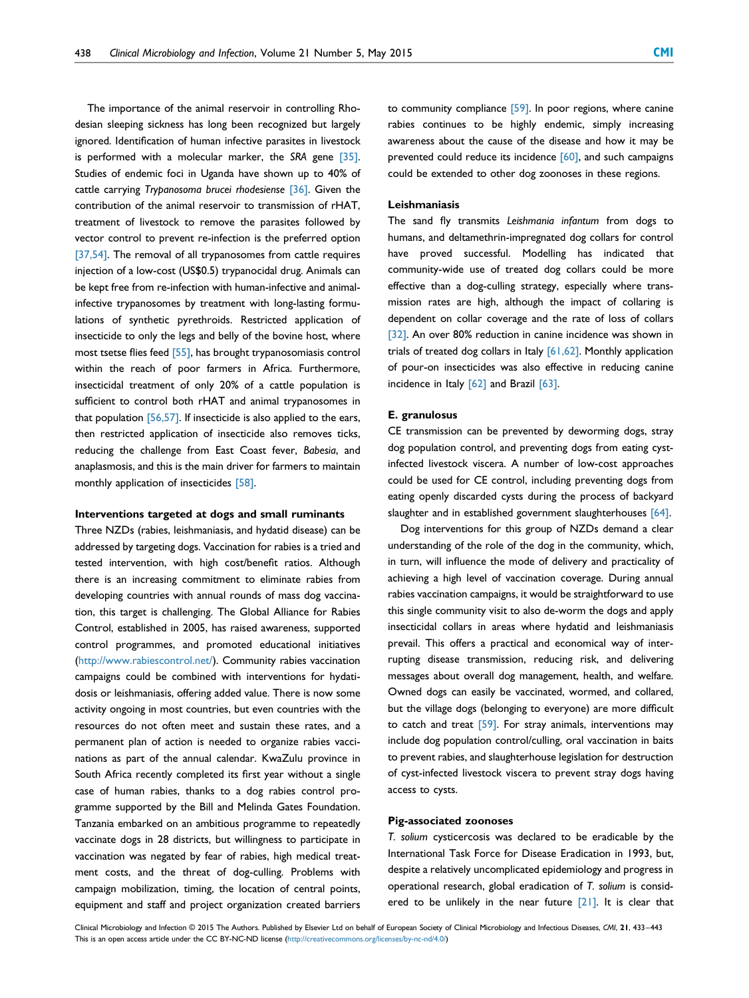The importance of the animal reservoir in controlling Rhodesian sleeping sickness has long been recognized but largely ignored. Identification of human infective parasites in livestock is performed with a molecular marker, the SRA gene  $[35]$ . Studies of endemic foci in Uganda have shown up to 40% of cattle carrying Trypanosoma brucei rhodesiense [\[36\].](#page-10-0) Given the contribution of the animal reservoir to transmission of rHAT, treatment of livestock to remove the parasites followed by vector control to prevent re-infection is the preferred option [\[37,54\]](#page-10-0). The removal of all trypanosomes from cattle requires injection of a low-cost (US\$0.5) trypanocidal drug. Animals can be kept free from re-infection with human-infective and animalinfective trypanosomes by treatment with long-lasting formulations of synthetic pyrethroids. Restricted application of insecticide to only the legs and belly of the bovine host, where most tsetse flies feed [\[55\],](#page-10-0) has brought trypanosomiasis control within the reach of poor farmers in Africa. Furthermore, insecticidal treatment of only 20% of a cattle population is sufficient to control both rHAT and animal trypanosomes in that population [\[56,57\]](#page-10-0). If insecticide is also applied to the ears,

then restricted application of insecticide also removes ticks, reducing the challenge from East Coast fever, Babesia, and anaplasmosis, and this is the main driver for farmers to maintain monthly application of insecticides [\[58\].](#page-10-0)

#### Interventions targeted at dogs and small ruminants

Three NZDs (rabies, leishmaniasis, and hydatid disease) can be addressed by targeting dogs. Vaccination for rabies is a tried and tested intervention, with high cost/benefit ratios. Although there is an increasing commitment to eliminate rabies from developing countries with annual rounds of mass dog vaccination, this target is challenging. The Global Alliance for Rabies Control, established in 2005, has raised awareness, supported control programmes, and promoted educational initiatives [\(http://www.rabiescontrol.net/](http://www.rabiescontrol.net/)). Community rabies vaccination campaigns could be combined with interventions for hydatidosis or leishmaniasis, offering added value. There is now some activity ongoing in most countries, but even countries with the resources do not often meet and sustain these rates, and a permanent plan of action is needed to organize rabies vaccinations as part of the annual calendar. KwaZulu province in South Africa recently completed its first year without a single case of human rabies, thanks to a dog rabies control programme supported by the Bill and Melinda Gates Foundation. Tanzania embarked on an ambitious programme to repeatedly vaccinate dogs in 28 districts, but willingness to participate in vaccination was negated by fear of rabies, high medical treatment costs, and the threat of dog-culling. Problems with campaign mobilization, timing, the location of central points, equipment and staff and project organization created barriers to community compliance [\[59\].](#page-10-0) In poor regions, where canine rabies continues to be highly endemic, simply increasing awareness about the cause of the disease and how it may be prevented could reduce its incidence [\[60\]](#page-10-0), and such campaigns could be extended to other dog zoonoses in these regions.

#### Leishmaniasis

The sand fly transmits Leishmania infantum from dogs to humans, and deltamethrin-impregnated dog collars for control have proved successful. Modelling has indicated that community-wide use of treated dog collars could be more effective than a dog-culling strategy, especially where transmission rates are high, although the impact of collaring is dependent on collar coverage and the rate of loss of collars [\[32\]](#page-10-0). An over 80% reduction in canine incidence was shown in trials of treated dog collars in Italy [\[61,62\].](#page-10-0) Monthly application of pour-on insecticides was also effective in reducing canine incidence in Italy [\[62\]](#page-10-0) and Brazil [\[63\]](#page-10-0).

#### E. granulosus

CE transmission can be prevented by deworming dogs, stray dog population control, and preventing dogs from eating cystinfected livestock viscera. A number of low-cost approaches could be used for CE control, including preventing dogs from eating openly discarded cysts during the process of backyard slaughter and in established government slaughterhouses [\[64\]](#page-10-0).

Dog interventions for this group of NZDs demand a clear understanding of the role of the dog in the community, which, in turn, will influence the mode of delivery and practicality of achieving a high level of vaccination coverage. During annual rabies vaccination campaigns, it would be straightforward to use this single community visit to also de-worm the dogs and apply insecticidal collars in areas where hydatid and leishmaniasis prevail. This offers a practical and economical way of interrupting disease transmission, reducing risk, and delivering messages about overall dog management, health, and welfare. Owned dogs can easily be vaccinated, wormed, and collared, but the village dogs (belonging to everyone) are more difficult to catch and treat  $[59]$ . For stray animals, interventions may include dog population control/culling, oral vaccination in baits to prevent rabies, and slaughterhouse legislation for destruction of cyst-infected livestock viscera to prevent stray dogs having access to cysts.

#### Pig-associated zoonoses

T. solium cysticercosis was declared to be eradicable by the International Task Force for Disease Eradication in 1993, but, despite a relatively uncomplicated epidemiology and progress in operational research, global eradication of T. solium is considered to be unlikely in the near future  $[21]$ . It is clear that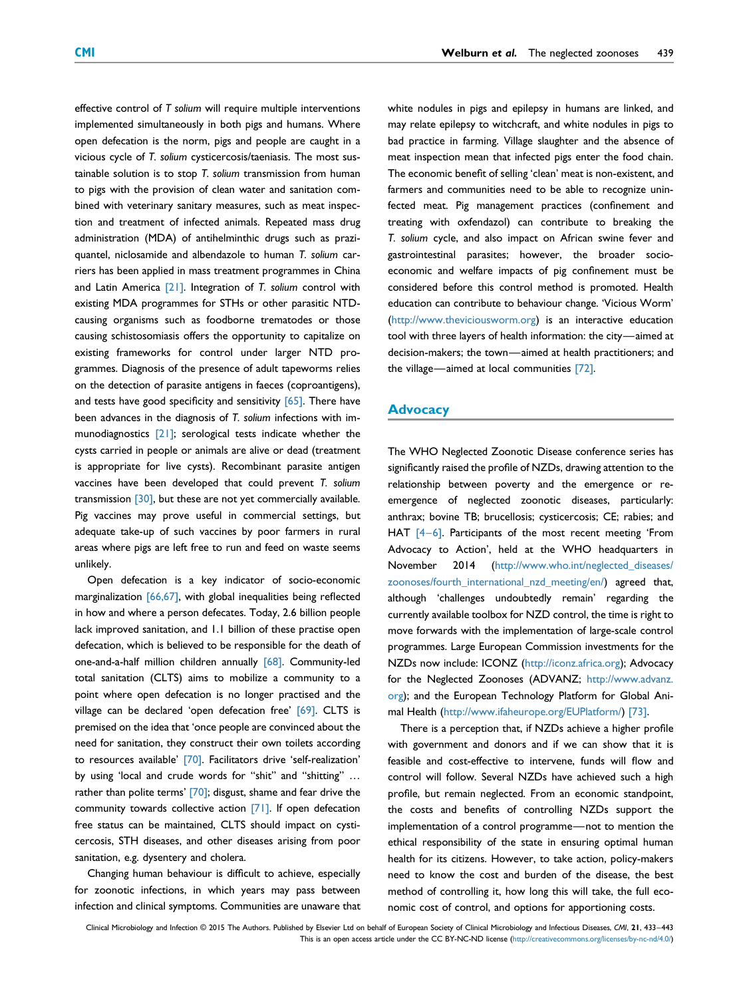effective control of T solium will require multiple interventions implemented simultaneously in both pigs and humans. Where open defecation is the norm, pigs and people are caught in a vicious cycle of T. solium cysticercosis/taeniasis. The most sustainable solution is to stop T. solium transmission from human to pigs with the provision of clean water and sanitation combined with veterinary sanitary measures, such as meat inspection and treatment of infected animals. Repeated mass drug administration (MDA) of antihelminthic drugs such as praziquantel, niclosamide and albendazole to human T. solium carriers has been applied in mass treatment programmes in China and Latin America [\[21\]](#page-9-0). Integration of T. solium control with existing MDA programmes for STHs or other parasitic NTDcausing organisms such as foodborne trematodes or those causing schistosomiasis offers the opportunity to capitalize on existing frameworks for control under larger NTD programmes. Diagnosis of the presence of adult tapeworms relies on the detection of parasite antigens in faeces (coproantigens), and tests have good specificity and sensitivity  $[65]$ . There have been advances in the diagnosis of T. solium infections with immunodiagnostics [\[21\]](#page-9-0); serological tests indicate whether the cysts carried in people or animals are alive or dead (treatment is appropriate for live cysts). Recombinant parasite antigen vaccines have been developed that could prevent T. solium transmission [\[30\],](#page-10-0) but these are not yet commercially available. Pig vaccines may prove useful in commercial settings, but adequate take-up of such vaccines by poor farmers in rural areas where pigs are left free to run and feed on waste seems unlikely.

Open defecation is a key indicator of socio-economic marginalization [\[66,67\]](#page-11-0), with global inequalities being reflected in how and where a person defecates. Today, 2.6 billion people lack improved sanitation, and 1.1 billion of these practise open defecation, which is believed to be responsible for the death of one-and-a-half million children annually [\[68\]](#page-11-0). Community-led total sanitation (CLTS) aims to mobilize a community to a point where open defecation is no longer practised and the village can be declared 'open defecation free' [\[69\].](#page-11-0) CLTS is premised on the idea that 'once people are convinced about the need for sanitation, they construct their own toilets according to resources available' [\[70\].](#page-11-0) Facilitators drive 'self-realization' by using 'local and crude words for "shit" and "shitting" … rather than polite terms' [\[70\]](#page-11-0); disgust, shame and fear drive the community towards collective action [\[71\]](#page-11-0). If open defecation free status can be maintained, CLTS should impact on cysticercosis, STH diseases, and other diseases arising from poor sanitation, e.g. dysentery and cholera.

Changing human behaviour is difficult to achieve, especially for zoonotic infections, in which years may pass between infection and clinical symptoms. Communities are unaware that white nodules in pigs and epilepsy in humans are linked, and may relate epilepsy to witchcraft, and white nodules in pigs to bad practice in farming. Village slaughter and the absence of meat inspection mean that infected pigs enter the food chain. The economic benefit of selling 'clean' meat is non-existent, and farmers and communities need to be able to recognize uninfected meat. Pig management practices (confinement and treating with oxfendazol) can contribute to breaking the T. solium cycle, and also impact on African swine fever and gastrointestinal parasites; however, the broader socioeconomic and welfare impacts of pig confinement must be considered before this control method is promoted. Health education can contribute to behaviour change. 'Vicious Worm' [\(http://www.theviciousworm.org](http://www.theviciousworm.org)) is an interactive education tool with three layers of health information: the city—aimed at decision-makers; the town—aimed at health practitioners; and the village—aimed at local communities [\[72\].](#page-11-0)

#### **Advocacy**

The WHO Neglected Zoonotic Disease conference series has significantly raised the profile of NZDs, drawing attention to the relationship between poverty and the emergence or reemergence of neglected zoonotic diseases, particularly: anthrax; bovine TB; brucellosis; cysticercosis; CE; rabies; and HAT  $[4-6]$  $[4-6]$ . Participants of the most recent meeting 'From Advocacy to Action', held at the WHO headquarters in November 2014 ([http://www.who.int/neglected\\_diseases/](http://www.who.int/neglected_diseases/zoonoses/fourth_international_nzd_meeting/en/) [zoonoses/fourth\\_international\\_nzd\\_meeting/en/\)](http://www.who.int/neglected_diseases/zoonoses/fourth_international_nzd_meeting/en/) agreed that, although 'challenges undoubtedly remain' regarding the currently available toolbox for NZD control, the time is right to move forwards with the implementation of large-scale control programmes. Large European Commission investments for the NZDs now include: ICONZ (<http://iconz.africa.org>); Advocacy for the Neglected Zoonoses (ADVANZ; [http://www.advanz.](http://www.advanz.org) [org\)](http://www.advanz.org); and the European Technology Platform for Global Animal Health [\(http://www.ifaheurope.org/EUPlatform/](http://www.ifaheurope.org/EUPlatform/)) [\[73\].](#page-11-0)

There is a perception that, if NZDs achieve a higher profile with government and donors and if we can show that it is feasible and cost-effective to intervene, funds will flow and control will follow. Several NZDs have achieved such a high profile, but remain neglected. From an economic standpoint, the costs and benefits of controlling NZDs support the implementation of a control programme—not to mention the ethical responsibility of the state in ensuring optimal human health for its citizens. However, to take action, policy-makers need to know the cost and burden of the disease, the best method of controlling it, how long this will take, the full economic cost of control, and options for apportioning costs.

Clinical Microbiology and Infection © 2015 The Authors. Published by Elsevier Ltd on behalf of European Society of Clinical Microbiology and Infectious Diseases, CMI, 21, 433-443 This is an open access article under the CC BY-NC-ND license ([http://creativecommons.org/licenses/by-nc-nd/4.0/\)](http://creativecommons.org/licenses/by-nc-nd/4.�0/)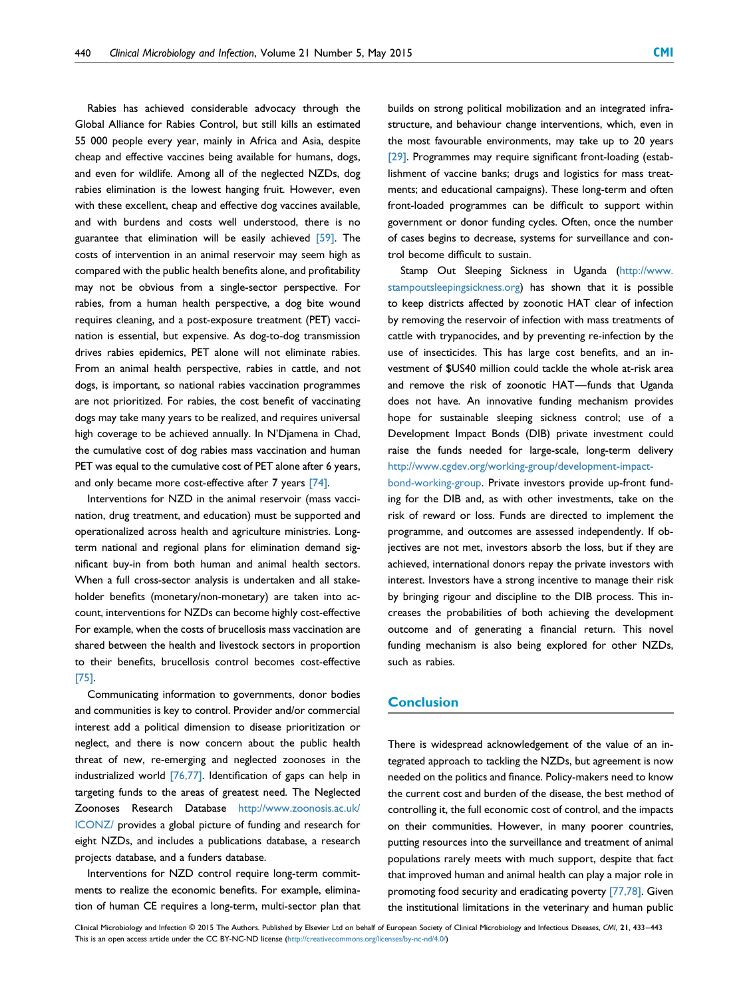Rabies has achieved considerable advocacy through the Global Alliance for Rabies Control, but still kills an estimated 55 000 people every year, mainly in Africa and Asia, despite cheap and effective vaccines being available for humans, dogs, and even for wildlife. Among all of the neglected NZDs, dog rabies elimination is the lowest hanging fruit. However, even with these excellent, cheap and effective dog vaccines available, and with burdens and costs well understood, there is no guarantee that elimination will be easily achieved [\[59\]](#page-10-0). The costs of intervention in an animal reservoir may seem high as compared with the public health benefits alone, and profitability may not be obvious from a single-sector perspective. For rabies, from a human health perspective, a dog bite wound requires cleaning, and a post-exposure treatment (PET) vaccination is essential, but expensive. As dog-to-dog transmission drives rabies epidemics, PET alone will not eliminate rabies. From an animal health perspective, rabies in cattle, and not dogs, is important, so national rabies vaccination programmes are not prioritized. For rabies, the cost benefit of vaccinating dogs may take many years to be realized, and requires universal high coverage to be achieved annually. In N'Djamena in Chad, the cumulative cost of dog rabies mass vaccination and human PET was equal to the cumulative cost of PET alone after 6 years, and only became more cost-effective after 7 years [\[74\]](#page-11-0).

Interventions for NZD in the animal reservoir (mass vaccination, drug treatment, and education) must be supported and operationalized across health and agriculture ministries. Longterm national and regional plans for elimination demand significant buy-in from both human and animal health sectors. When a full cross-sector analysis is undertaken and all stakeholder benefits (monetary/non-monetary) are taken into account, interventions for NZDs can become highly cost-effective For example, when the costs of brucellosis mass vaccination are shared between the health and livestock sectors in proportion to their benefits, brucellosis control becomes cost-effective [\[75\]](#page-11-0).

Communicating information to governments, donor bodies and communities is key to control. Provider and/or commercial interest add a political dimension to disease prioritization or neglect, and there is now concern about the public health threat of new, re-emerging and neglected zoonoses in the industrialized world [\[76,77\].](#page-11-0) Identification of gaps can help in targeting funds to the areas of greatest need. The Neglected Zoonoses Research Database [http://www.zoonosis.ac.uk/](http://www.zoonosis.ac.uk/ICONZ/) [ICONZ/](http://www.zoonosis.ac.uk/ICONZ/) provides a global picture of funding and research for eight NZDs, and includes a publications database, a research projects database, and a funders database.

Interventions for NZD control require long-term commitments to realize the economic benefits. For example, elimination of human CE requires a long-term, multi-sector plan that builds on strong political mobilization and an integrated infrastructure, and behaviour change interventions, which, even in the most favourable environments, may take up to 20 years [\[29\]](#page-10-0). Programmes may require significant front-loading (establishment of vaccine banks; drugs and logistics for mass treatments; and educational campaigns). These long-term and often front-loaded programmes can be difficult to support within government or donor funding cycles. Often, once the number of cases begins to decrease, systems for surveillance and control become difficult to sustain.

Stamp Out Sleeping Sickness in Uganda ([http://www.](http://www.stampoutsleepingsickness.org) [stampoutsleepingsickness.org\)](http://www.stampoutsleepingsickness.org) has shown that it is possible to keep districts affected by zoonotic HAT clear of infection by removing the reservoir of infection with mass treatments of cattle with trypanocides, and by preventing re-infection by the use of insecticides. This has large cost benefits, and an investment of \$US40 million could tackle the whole at-risk area and remove the risk of zoonotic HAT—funds that Uganda does not have. An innovative funding mechanism provides hope for sustainable sleeping sickness control; use of a Development Impact Bonds (DIB) private investment could raise the funds needed for large-scale, long-term delivery [http://www.cgdev.org/working-group/development-impact-](http://www.cgdev.org/working-group/development-impact-bond-working-group)

[bond-working-group](http://www.cgdev.org/working-group/development-impact-bond-working-group). Private investors provide up-front funding for the DIB and, as with other investments, take on the risk of reward or loss. Funds are directed to implement the programme, and outcomes are assessed independently. If objectives are not met, investors absorb the loss, but if they are achieved, international donors repay the private investors with interest. Investors have a strong incentive to manage their risk by bringing rigour and discipline to the DIB process. This increases the probabilities of both achieving the development outcome and of generating a financial return. This novel funding mechanism is also being explored for other NZDs, such as rabies.

### **Conclusion**

There is widespread acknowledgement of the value of an integrated approach to tackling the NZDs, but agreement is now needed on the politics and finance. Policy-makers need to know the current cost and burden of the disease, the best method of controlling it, the full economic cost of control, and the impacts on their communities. However, in many poorer countries, putting resources into the surveillance and treatment of animal populations rarely meets with much support, despite that fact that improved human and animal health can play a major role in promoting food security and eradicating poverty [\[77,78\]](#page-11-0). Given the institutional limitations in the veterinary and human public

Clinical Microbiology and Infection © 2015 The Authors. Published by Elsevier Ltd on behalf of European Society of Clinical Microbiology and Infectious Diseases, CMI, 21, 433–443 This is an open access article under the CC BY-NC-ND license ([http://creativecommons.org/licenses/by-nc-nd/4.0/\)](http://creativecommons.org/licenses/by-nc-nd/4.�0/)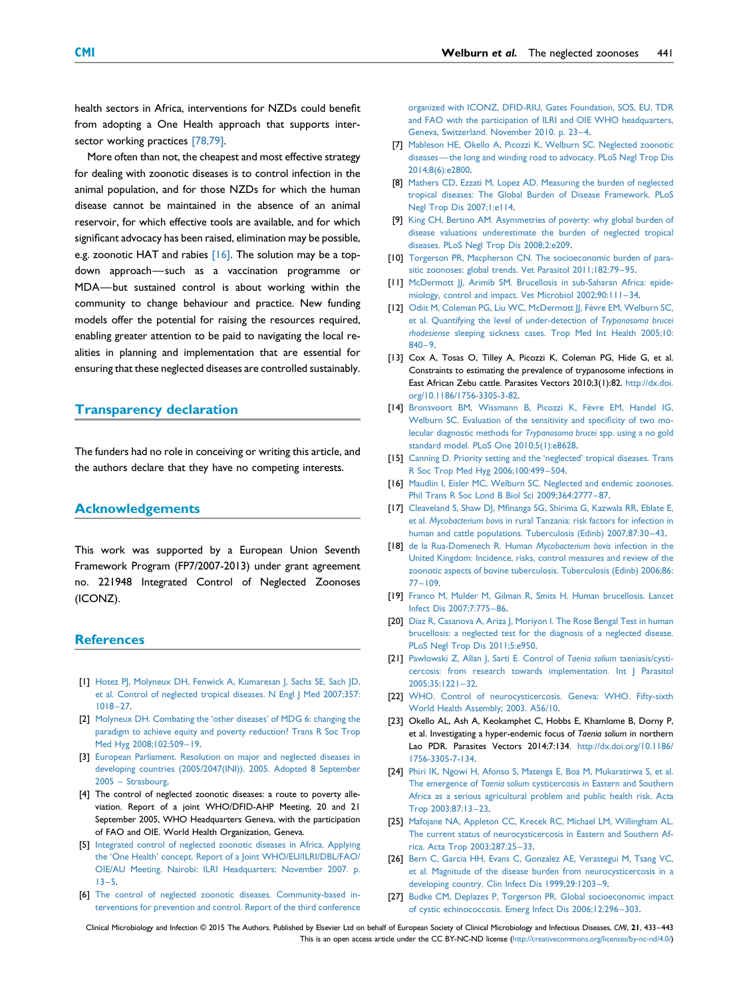<span id="page-9-0"></span>health sectors in Africa, interventions for NZDs could benefit from adopting a One Health approach that supports inter-sector working practices [\[78,79\]](#page-11-0).

More often than not, the cheapest and most effective strategy for dealing with zoonotic diseases is to control infection in the animal population, and for those NZDs for which the human disease cannot be maintained in the absence of an animal reservoir, for which effective tools are available, and for which significant advocacy has been raised, elimination may be possible, e.g. zoonotic HAT and rabies  $[16]$ . The solution may be a topdown approach—such as a vaccination programme or MDA—but sustained control is about working within the community to change behaviour and practice. New funding models offer the potential for raising the resources required, enabling greater attention to be paid to navigating the local realities in planning and implementation that are essential for ensuring that these neglected diseases are controlled sustainably.

#### Transparency declaration

The funders had no role in conceiving or writing this article, and the authors declare that they have no competing interests.

#### Acknowledgements

This work was supported by a European Union Seventh Framework Program (FP7/2007-2013) under grant agreement no. 221948 Integrated Control of Neglected Zoonoses (ICONZ).

#### **References**

- [1] [Hotez PJ, Molyneux DH, Fenwick A, Kumaresan J, Sachs SE, Sach JD,](http://refhub.elsevier.com/S1198-743X(15)00419-X/sref1) [et al. Control of neglected tropical diseases. N Engl J Med 2007;357:](http://refhub.elsevier.com/S1198-743X(15)00419-X/sref1) [1018](http://refhub.elsevier.com/S1198-743X(15)00419-X/sref1)–27.
- [2] [Molyneux DH. Combating the](http://refhub.elsevier.com/S1198-743X(15)00419-X/sref2) 'other diseases' of MDG 6: changing the [paradigm to achieve equity and poverty reduction? Trans R Soc Trop](http://refhub.elsevier.com/S1198-743X(15)00419-X/sref2) [Med Hyg 2008;102:509](http://refhub.elsevier.com/S1198-743X(15)00419-X/sref2)–19.
- [3] [European Parliament. Resolution on major and neglected diseases in](http://refhub.elsevier.com/S1198-743X(15)00419-X/sref3) [developing countries \(2005/2047\(INI\)\). 2005. Adopted 8 September](http://refhub.elsevier.com/S1198-743X(15)00419-X/sref3) 2005 – [Strasbourg.](http://refhub.elsevier.com/S1198-743X(15)00419-X/sref3)
- [4] The control of neglected zoonotic diseases: a route to poverty alleviation. Report of a joint WHO/DFID-AHP Meeting, 20 and 21 September 2005, WHO Headquarters Geneva, with the participation of FAO and OIE. World Health Organization, Geneva.
- [5] [Integrated control of neglected zoonotic diseases in Africa. Applying](http://refhub.elsevier.com/S1198-743X(15)00419-X/sref4) the 'One Health' [concept. Report of a Joint WHO/EU/ILRI/DBL/FAO/](http://refhub.elsevier.com/S1198-743X(15)00419-X/sref4) [OIE/AU Meeting. Nairobi: ILRI Headquarters; November 2007. p.](http://refhub.elsevier.com/S1198-743X(15)00419-X/sref4) [13](http://refhub.elsevier.com/S1198-743X(15)00419-X/sref4)–5.
- [6] [The control of neglected zoonotic diseases. Community-based in](http://refhub.elsevier.com/S1198-743X(15)00419-X/sref5)[terventions for prevention and control. Report of the third conference](http://refhub.elsevier.com/S1198-743X(15)00419-X/sref5)

[organized with ICONZ, DFID-RIU, Gates Foundation, SOS, EU, TDR](http://refhub.elsevier.com/S1198-743X(15)00419-X/sref5) [and FAO with the participation of ILRI and OIE WHO headquarters,](http://refhub.elsevier.com/S1198-743X(15)00419-X/sref5) [Geneva, Switzerland. November 2010. p. 23](http://refhub.elsevier.com/S1198-743X(15)00419-X/sref5)–4.

- [7] [Mableson HE, Okello A, Picozzi K, Welburn SC. Neglected zoonotic](http://refhub.elsevier.com/S1198-743X(15)00419-X/sref6) diseases—[the long and winding road to advocacy. PLoS Negl Trop Dis](http://refhub.elsevier.com/S1198-743X(15)00419-X/sref6) [2014;8\(6\):e2800.](http://refhub.elsevier.com/S1198-743X(15)00419-X/sref6)
- [8] [Mathers CD, Ezzati M, Lopez AD. Measuring the burden of neglected](http://refhub.elsevier.com/S1198-743X(15)00419-X/sref7) [tropical diseases: The Global Burden of Disease Framework. PLoS](http://refhub.elsevier.com/S1198-743X(15)00419-X/sref7) [Negl Trop Dis 2007;1:e114](http://refhub.elsevier.com/S1198-743X(15)00419-X/sref7).
- [9] [King CH, Bertino AM. Asymmetries of poverty: why global burden of](http://refhub.elsevier.com/S1198-743X(15)00419-X/sref8) [disease valuations underestimate the burden of neglected tropical](http://refhub.elsevier.com/S1198-743X(15)00419-X/sref8) [diseases. PLoS Negl Trop Dis 2008;2:e209](http://refhub.elsevier.com/S1198-743X(15)00419-X/sref8).
- [10] [Torgerson PR, Macpherson CN. The socioeconomic burden of para](http://refhub.elsevier.com/S1198-743X(15)00419-X/sref9)[sitic zoonoses: global trends. Vet Parasitol 2011;182:79](http://refhub.elsevier.com/S1198-743X(15)00419-X/sref9)–95.
- [11] [McDermott JJ, Arimib SM. Brucellosis in sub-Saharan Africa: epide](http://refhub.elsevier.com/S1198-743X(15)00419-X/sref10)[miology, control and impact. Vet Microbiol 2002;90:111](http://refhub.elsevier.com/S1198-743X(15)00419-X/sref10)–34.
- [12] [Odiit M, Coleman PG, Liu WC, McDermott JJ, Fèvre EM, Welburn SC,](http://refhub.elsevier.com/S1198-743X(15)00419-X/sref11) [et al. Quantifying the level of under-detection of](http://refhub.elsevier.com/S1198-743X(15)00419-X/sref11) Trypanosoma brucei rhodesiense [sleeping sickness cases. Trop Med Int Health 2005;10:](http://refhub.elsevier.com/S1198-743X(15)00419-X/sref11) [840](http://refhub.elsevier.com/S1198-743X(15)00419-X/sref11)–9.
- [13] Cox A, Tosas O, Tilley A, Picozzi K, Coleman PG, Hide G, et al. Constraints to estimating the prevalence of trypanosome infections in East African Zebu cattle. Parasites Vectors 2010;3(1):82. [http://dx.doi.](http://dx.doi.org/10.1186/1756-3305-3-82) [org/10.1186/1756-3305-3-82.](http://dx.doi.org/10.1186/1756-3305-3-82)
- [14] [Bronsvoort BM, Wissmann B, Picozzi K, Fèvre EM, Handel IG,](http://refhub.elsevier.com/S1198-743X(15)00419-X/sref13) [Welburn SC. Evaluation of the sensitivity and speci](http://refhub.elsevier.com/S1198-743X(15)00419-X/sref13)ficity of two mo[lecular diagnostic methods for](http://refhub.elsevier.com/S1198-743X(15)00419-X/sref13) Trypanosoma brucei spp. using a no gold [standard model. PLoS One 2010;5\(1\):e8628](http://refhub.elsevier.com/S1198-743X(15)00419-X/sref13).
- [15] [Canning D. Priority setting and the](http://refhub.elsevier.com/S1198-743X(15)00419-X/sref14) 'neglected' tropical diseases. Trans [R Soc Trop Med Hyg 2006;100:499](http://refhub.elsevier.com/S1198-743X(15)00419-X/sref14)–504.
- [16] [Maudlin I, Eisler MC, Welburn SC. Neglected and endemic zoonoses.](http://refhub.elsevier.com/S1198-743X(15)00419-X/sref15) [Phil Trans R Soc Lond B Biol Sci 2009;364:2777](http://refhub.elsevier.com/S1198-743X(15)00419-X/sref15)–87.
- [17] Cleaveland S, Shaw DJ, Mfi[nanga SG, Shirima G, Kazwala RR, Eblate E,](http://refhub.elsevier.com/S1198-743X(15)00419-X/sref16) et al. Mycobacterium bovis [in rural Tanzania: risk factors for infection in](http://refhub.elsevier.com/S1198-743X(15)00419-X/sref16) [human and cattle populations. Tuberculosis \(Edinb\) 2007;87:30](http://refhub.elsevier.com/S1198-743X(15)00419-X/sref16)–43.
- [18] [de la Rua-Domenech R. Human](http://refhub.elsevier.com/S1198-743X(15)00419-X/sref17) Mycobacterium bovis infection in the [United Kingdom: Incidence, risks, control measures and review of the](http://refhub.elsevier.com/S1198-743X(15)00419-X/sref17) [zoonotic aspects of bovine tuberculosis. Tuberculosis \(Edinb\) 2006;86:](http://refhub.elsevier.com/S1198-743X(15)00419-X/sref17) 77–[109.](http://refhub.elsevier.com/S1198-743X(15)00419-X/sref17)
- [19] [Franco M, Mulder M, Gilman R, Smits H. Human brucellosis. Lancet](http://refhub.elsevier.com/S1198-743X(15)00419-X/sref18) [Infect Dis 2007;7:775](http://refhub.elsevier.com/S1198-743X(15)00419-X/sref18)–86.
- [20] [Diaz R, Casanova A, Ariza J, Moriyon I. The Rose Bengal Test in human](http://refhub.elsevier.com/S1198-743X(15)00419-X/sref19) [brucellosis: a neglected test for the diagnosis of a neglected disease.](http://refhub.elsevier.com/S1198-743X(15)00419-X/sref19) PLoS Negl Trop Dis 2011:5:e950.
- [21] [Pawlowski Z, Allan J, Sarti E. Control of](http://refhub.elsevier.com/S1198-743X(15)00419-X/sref20) Taenia solium taeniasis/cysti[cercosis: from research towards implementation. Int J Parasitol](http://refhub.elsevier.com/S1198-743X(15)00419-X/sref20) [2005;35:1221](http://refhub.elsevier.com/S1198-743X(15)00419-X/sref20)–32.
- [22] [WHO. Control of neurocysticercosis. Geneva: WHO. Fifty-sixth](http://refhub.elsevier.com/S1198-743X(15)00419-X/sref21) [World Health Assembly; 2003. A56/10.](http://refhub.elsevier.com/S1198-743X(15)00419-X/sref21)
- [23] Okello AL, Ash A, Keokamphet C, Hobbs E, Khamlome B, Dorny P, et al. Investigating a hyper-endemic focus of Taenia solium in northern Lao PDR. Parasites Vectors 2014;7:134. [http://dx.doi.org/10.1186/](http://dx.doi.org/10.1186/1756-3305-7-134) [1756-3305-7-134](http://dx.doi.org/10.1186/1756-3305-7-134).
- [24] [Phiri IK, Ngowi H, Afonso S, Matenga E, Boa M, Mukaratirwa S, et al.](http://refhub.elsevier.com/S1198-743X(15)00419-X/sref23) The emergence of Taenia solium [cysticercosis in Eastern and Southern](http://refhub.elsevier.com/S1198-743X(15)00419-X/sref23) [Africa as a serious agricultural problem and public health risk. Acta](http://refhub.elsevier.com/S1198-743X(15)00419-X/sref23) [Trop 2003;87:13](http://refhub.elsevier.com/S1198-743X(15)00419-X/sref23)–23.
- [25] [Mafojane NA, Appleton CC, Krecek RC, Michael LM, Willingham AL.](http://refhub.elsevier.com/S1198-743X(15)00419-X/sref24) [The current status of neurocysticercosis in Eastern and Southern Af](http://refhub.elsevier.com/S1198-743X(15)00419-X/sref24)[rica. Acta Trop 2003;287:25](http://refhub.elsevier.com/S1198-743X(15)00419-X/sref24)–33.
- [26] [Bern C, Garcia HH, Evans C, Gonzalez AE, Verastegui M, Tsang VC,](http://refhub.elsevier.com/S1198-743X(15)00419-X/sref25) [et al. Magnitude of the disease burden from neurocysticercosis in a](http://refhub.elsevier.com/S1198-743X(15)00419-X/sref25) [developing country. Clin Infect Dis 1999;29:1203](http://refhub.elsevier.com/S1198-743X(15)00419-X/sref25)–9.
- [27] [Budke CM, Deplazes P, Torgerson PR. Global socioeconomic impact](http://refhub.elsevier.com/S1198-743X(15)00419-X/sref26) [of cystic echinococcosis. Emerg Infect Dis 2006;12:296](http://refhub.elsevier.com/S1198-743X(15)00419-X/sref26)–303.

Clinical Microbiology and Infection © 2015 The Authors. Published by Elsevier Ltd on behalf of European Society of Clinical Microbiology and Infectious Diseases, CMI, 21, 433-443 This is an open access article under the CC BY-NC-ND license ([http://creativecommons.org/licenses/by-nc-nd/4.0/\)](http://creativecommons.org/licenses/by-nc-nd/4.�0/)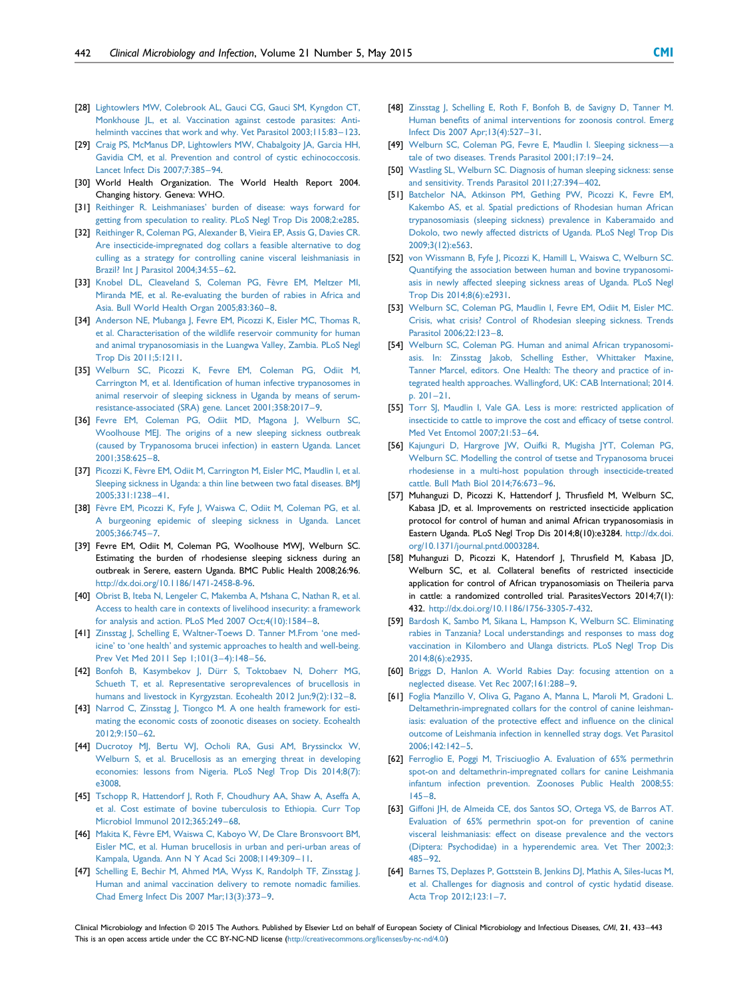- <span id="page-10-0"></span>[28] [Lightowlers MW, Colebrook AL, Gauci CG, Gauci SM, Kyngdon CT,](http://refhub.elsevier.com/S1198-743X(15)00419-X/sref27) [Monkhouse JL, et al. Vaccination against cestode parasites: Anti](http://refhub.elsevier.com/S1198-743X(15)00419-X/sref27)[helminth vaccines that work and why. Vet Parasitol 2003;115:83](http://refhub.elsevier.com/S1198-743X(15)00419-X/sref27)–123.
- [29] [Craig PS, McManus DP, Lightowlers MW, Chabalgoity JA, Garcia HH,](http://refhub.elsevier.com/S1198-743X(15)00419-X/sref28) [Gavidia CM, et al. Prevention and control of cystic echinococcosis.](http://refhub.elsevier.com/S1198-743X(15)00419-X/sref28) [Lancet Infect Dis 2007;7:385](http://refhub.elsevier.com/S1198-743X(15)00419-X/sref28)–94.
- [30] World Health Organization. The World Health Report 2004. Changing history. Geneva: WHO.
- [31] Reithinger R. Leishmaniases' [burden of disease: ways forward for](http://refhub.elsevier.com/S1198-743X(15)00419-X/sref29) [getting from speculation to reality. PLoS Negl Trop Dis 2008;2:e285.](http://refhub.elsevier.com/S1198-743X(15)00419-X/sref29)
- [32] [Reithinger R, Coleman PG, Alexander B, Vieira EP, Assis G, Davies CR.](http://refhub.elsevier.com/S1198-743X(15)00419-X/sref30) [Are insecticide-impregnated dog collars a feasible alternative to dog](http://refhub.elsevier.com/S1198-743X(15)00419-X/sref30) [culling as a strategy for controlling canine visceral leishmaniasis in](http://refhub.elsevier.com/S1198-743X(15)00419-X/sref30) [Brazil? Int J Parasitol 2004;34:55](http://refhub.elsevier.com/S1198-743X(15)00419-X/sref30)–62.
- [33] [Knobel DL, Cleaveland S, Coleman PG, Fèvre EM, Meltzer MI,](http://refhub.elsevier.com/S1198-743X(15)00419-X/sref31) [Miranda ME, et al. Re-evaluating the burden of rabies in Africa and](http://refhub.elsevier.com/S1198-743X(15)00419-X/sref31) [Asia. Bull World Health Organ 2005;83:360](http://refhub.elsevier.com/S1198-743X(15)00419-X/sref31)–8.
- [34] [Anderson NE, Mubanga J, Fevre EM, Picozzi K, Eisler MC, Thomas R,](http://refhub.elsevier.com/S1198-743X(15)00419-X/sref32) [et al. Characterisation of the wildlife reservoir community for human](http://refhub.elsevier.com/S1198-743X(15)00419-X/sref32) [and animal trypanosomiasis in the Luangwa Valley, Zambia. PLoS Negl](http://refhub.elsevier.com/S1198-743X(15)00419-X/sref32) [Trop Dis 2011;5:1211](http://refhub.elsevier.com/S1198-743X(15)00419-X/sref32).
- [35] [Welburn SC, Picozzi K, Fevre EM, Coleman PG, Odiit M,](http://refhub.elsevier.com/S1198-743X(15)00419-X/sref33) Carrington M, et al. Identifi[cation of human infective trypanosomes in](http://refhub.elsevier.com/S1198-743X(15)00419-X/sref33) [animal reservoir of sleeping sickness in Uganda by means of serum](http://refhub.elsevier.com/S1198-743X(15)00419-X/sref33)[resistance-associated \(SRA\) gene. Lancet 2001;358:2017](http://refhub.elsevier.com/S1198-743X(15)00419-X/sref33)–9.
- [36] [Fevre EM, Coleman PG, Odiit MD, Magona J, Welburn SC,](http://refhub.elsevier.com/S1198-743X(15)00419-X/sref34) [Woolhouse MEJ. The origins of a new sleeping sickness outbreak](http://refhub.elsevier.com/S1198-743X(15)00419-X/sref34) [\(caused by Trypanosoma brucei infection\) in eastern Uganda. Lancet](http://refhub.elsevier.com/S1198-743X(15)00419-X/sref34) [2001;358:625](http://refhub.elsevier.com/S1198-743X(15)00419-X/sref34)–8.
- [37] [Picozzi K, Fèvre EM, Odiit M, Carrington M, Eisler MC, Maudlin I, et al.](http://refhub.elsevier.com/S1198-743X(15)00419-X/sref35) Sleeping sickness in Uganda: a thin line between two fatal diseases. BMI [2005;331:1238](http://refhub.elsevier.com/S1198-743X(15)00419-X/sref35)–41.
- [38] [Fèvre EM, Picozzi K, Fyfe J, Waiswa C, Odiit M, Coleman PG, et al.](http://refhub.elsevier.com/S1198-743X(15)00419-X/sref36) [A burgeoning epidemic of sleeping sickness in Uganda. Lancet](http://refhub.elsevier.com/S1198-743X(15)00419-X/sref36) [2005;366:745](http://refhub.elsevier.com/S1198-743X(15)00419-X/sref36)–7.
- [39] Fevre EM, Odiit M, Coleman PG, Woolhouse MWJ, Welburn SC. Estimating the burden of rhodesiense sleeping sickness during an outbreak in Serere, eastern Uganda. BMC Public Health 2008;26:96. [http://dx.doi.org/10.1186/1471-2458-8-96.](http://dx.doi.org/10.1186/1471-2458-8-96)
- [40] [Obrist B, Iteba N, Lengeler C, Makemba A, Mshana C, Nathan R, et al.](http://refhub.elsevier.com/S1198-743X(15)00419-X/sref38) [Access to health care in contexts of livelihood insecurity: a framework](http://refhub.elsevier.com/S1198-743X(15)00419-X/sref38) [for analysis and action. PLoS Med 2007 Oct;4\(10\):1584](http://refhub.elsevier.com/S1198-743X(15)00419-X/sref38)–8.
- [41] [Zinsstag J, Schelling E, Waltner-Toews D. Tanner M.From](http://refhub.elsevier.com/S1198-743X(15)00419-X/sref39) 'one medicine' to 'one health' [and systemic approaches to health and well-being.](http://refhub.elsevier.com/S1198-743X(15)00419-X/sref39) [Prev Vet Med 2011 Sep 1;101\(3](http://refhub.elsevier.com/S1198-743X(15)00419-X/sref39)–4):148–56.
- [42] [Bonfoh B, Kasymbekov J, Dürr S, Toktobaev N, Doherr MG,](http://refhub.elsevier.com/S1198-743X(15)00419-X/sref40) [Schueth T, et al. Representative seroprevalences of brucellosis in](http://refhub.elsevier.com/S1198-743X(15)00419-X/sref40) [humans and livestock in Kyrgyzstan. Ecohealth 2012 Jun;9\(2\):132](http://refhub.elsevier.com/S1198-743X(15)00419-X/sref40)-8.
- [43] [Narrod C, Zinsstag J, Tiongco M. A one health framework for esti](http://refhub.elsevier.com/S1198-743X(15)00419-X/sref41)[mating the economic costs of zoonotic diseases on society. Ecohealth](http://refhub.elsevier.com/S1198-743X(15)00419-X/sref41) [2012;9:150](http://refhub.elsevier.com/S1198-743X(15)00419-X/sref41)–62.
- [44] [Ducrotoy MJ, Bertu WJ, Ocholi RA, Gusi AM, Bryssinckx W,](http://refhub.elsevier.com/S1198-743X(15)00419-X/sref42) [Welburn S, et al. Brucellosis as an emerging threat in developing](http://refhub.elsevier.com/S1198-743X(15)00419-X/sref42) [economies: lessons from Nigeria. PLoS Negl Trop Dis 2014;8\(7\):](http://refhub.elsevier.com/S1198-743X(15)00419-X/sref42) [e3008.](http://refhub.elsevier.com/S1198-743X(15)00419-X/sref42)
- [45] [Tschopp R, Hattendorf J, Roth F, Choudhury AA, Shaw A, Aseffa A,](http://refhub.elsevier.com/S1198-743X(15)00419-X/sref43) [et al. Cost estimate of bovine tuberculosis to Ethiopia. Curr Top](http://refhub.elsevier.com/S1198-743X(15)00419-X/sref43) [Microbiol Immunol 2012;365:249](http://refhub.elsevier.com/S1198-743X(15)00419-X/sref43)–68.
- [46] [Makita K, Fèvre EM, Waiswa C, Kaboyo W, De Clare Bronsvoort BM,](http://refhub.elsevier.com/S1198-743X(15)00419-X/sref44) [Eisler MC, et al. Human brucellosis in urban and peri-urban areas of](http://refhub.elsevier.com/S1198-743X(15)00419-X/sref44) [Kampala, Uganda. Ann N Y Acad Sci 2008;1149:309](http://refhub.elsevier.com/S1198-743X(15)00419-X/sref44)–11.
- [47] [Schelling E, Bechir M, Ahmed MA, Wyss K, Randolph TF, Zinsstag J.](http://refhub.elsevier.com/S1198-743X(15)00419-X/sref45) [Human and animal vaccination delivery to remote nomadic families.](http://refhub.elsevier.com/S1198-743X(15)00419-X/sref45) [Chad Emerg Infect Dis 2007 Mar;13\(3\):373](http://refhub.elsevier.com/S1198-743X(15)00419-X/sref45)–9.
- [48] [Zinsstag J, Schelling E, Roth F, Bonfoh B, de Savigny D, Tanner M.](http://refhub.elsevier.com/S1198-743X(15)00419-X/sref46) Human benefi[ts of animal interventions for zoonosis control. Emerg](http://refhub.elsevier.com/S1198-743X(15)00419-X/sref46) [Infect Dis 2007 Apr;13\(4\):527](http://refhub.elsevier.com/S1198-743X(15)00419-X/sref46)–31.
- [49] [Welburn SC, Coleman PG, Fevre E, Maudlin I. Sleeping sickness](http://refhub.elsevier.com/S1198-743X(15)00419-X/sref47)—a [tale of two diseases. Trends Parasitol 2001;17:19](http://refhub.elsevier.com/S1198-743X(15)00419-X/sref47)–24.
- [50] [Wastling SL, Welburn SC. Diagnosis of human sleeping sickness: sense](http://refhub.elsevier.com/S1198-743X(15)00419-X/sref48) [and sensitivity. Trends Parasitol 2011;27:394](http://refhub.elsevier.com/S1198-743X(15)00419-X/sref48)–402.
- [51] [Batchelor NA, Atkinson PM, Gething PW, Picozzi K, Fevre EM,](http://refhub.elsevier.com/S1198-743X(15)00419-X/sref49) [Kakembo AS, et al. Spatial predictions of Rhodesian human African](http://refhub.elsevier.com/S1198-743X(15)00419-X/sref49) [trypanosomiasis \(sleeping sickness\) prevalence in Kaberamaido and](http://refhub.elsevier.com/S1198-743X(15)00419-X/sref49) [Dokolo, two newly affected districts of Uganda. PLoS Negl Trop Dis](http://refhub.elsevier.com/S1198-743X(15)00419-X/sref49) [2009;3\(12\):e563](http://refhub.elsevier.com/S1198-743X(15)00419-X/sref49).
- [52] [von Wissmann B, Fyfe J, Picozzi K, Hamill L, Waiswa C, Welburn SC.](http://refhub.elsevier.com/S1198-743X(15)00419-X/sref50) [Quantifying the association between human and bovine trypanosomi](http://refhub.elsevier.com/S1198-743X(15)00419-X/sref50)[asis in newly affected sleeping sickness areas of Uganda. PLoS Negl](http://refhub.elsevier.com/S1198-743X(15)00419-X/sref50) [Trop Dis 2014;8\(6\):e2931](http://refhub.elsevier.com/S1198-743X(15)00419-X/sref50).
- [53] [Welburn SC, Coleman PG, Maudlin I, Fevre EM, Odiit M, Eisler MC.](http://refhub.elsevier.com/S1198-743X(15)00419-X/sref51) [Crisis, what crisis? Control of Rhodesian sleeping sickness. Trends](http://refhub.elsevier.com/S1198-743X(15)00419-X/sref51) [Parasitol 2006;22:123](http://refhub.elsevier.com/S1198-743X(15)00419-X/sref51)–8.
- [54] [Welburn SC, Coleman PG. Human and animal African trypanosomi](http://refhub.elsevier.com/S1198-743X(15)00419-X/sref52)[asis. In: Zinsstag Jakob, Schelling Esther, Whittaker Maxine,](http://refhub.elsevier.com/S1198-743X(15)00419-X/sref52) [Tanner Marcel, editors. One Health: The theory and practice of in](http://refhub.elsevier.com/S1198-743X(15)00419-X/sref52)[tegrated health approaches. Wallingford, UK: CAB International; 2014.](http://refhub.elsevier.com/S1198-743X(15)00419-X/sref52) [p. 201](http://refhub.elsevier.com/S1198-743X(15)00419-X/sref52)–21.
- [55] [Torr SJ, Maudlin I, Vale GA. Less is more: restricted application of](http://refhub.elsevier.com/S1198-743X(15)00419-X/sref53) [insecticide to cattle to improve the cost and ef](http://refhub.elsevier.com/S1198-743X(15)00419-X/sref53)ficacy of tsetse control. [Med Vet Entomol 2007;21:53](http://refhub.elsevier.com/S1198-743X(15)00419-X/sref53)–64.
- [56] [Kajunguri D, Hargrove JW, Ouifki R, Mugisha JYT, Coleman PG,](http://refhub.elsevier.com/S1198-743X(15)00419-X/sref54) [Welburn SC. Modelling the control of tsetse and Trypanosoma brucei](http://refhub.elsevier.com/S1198-743X(15)00419-X/sref54) [rhodesiense in a multi-host population through insecticide-treated](http://refhub.elsevier.com/S1198-743X(15)00419-X/sref54) [cattle. Bull Math Biol 2014;76:673](http://refhub.elsevier.com/S1198-743X(15)00419-X/sref54)–96.
- [57] Muhanguzi D, Picozzi K, Hattendorf J, Thrusfield M, Welburn SC, Kabasa JD, et al. Improvements on restricted insecticide application protocol for control of human and animal African trypanosomiasis in Eastern Uganda. PLoS Negl Trop Dis 2014;8(10):e3284. [http://dx.doi.](http://dx.doi.org/10.1371/journal.pntd.0003284) [org/10.1371/journal.pntd.0003284](http://dx.doi.org/10.1371/journal.pntd.0003284).
- [58] Muhanguzi D, Picozzi K, Hatendorf J, Thrusfield M, Kabasa JD, Welburn SC, et al. Collateral benefits of restricted insecticide application for control of African trypanosomiasis on Theileria parva in cattle: a randomized controlled trial. ParasitesVectors 2014;7(1): 432. [http://dx.doi.org/10.1186/1756-3305-7-432.](http://dx.doi.org/10.1186/1756-3305-7-432)
- [59] [Bardosh K, Sambo M, Sikana L, Hampson K, Welburn SC. Eliminating](http://refhub.elsevier.com/S1198-743X(15)00419-X/sref57) [rabies in Tanzania? Local understandings and responses to mass dog](http://refhub.elsevier.com/S1198-743X(15)00419-X/sref57) [vaccination in Kilombero and Ulanga districts. PLoS Negl Trop Dis](http://refhub.elsevier.com/S1198-743X(15)00419-X/sref57) [2014;8\(6\):e2935](http://refhub.elsevier.com/S1198-743X(15)00419-X/sref57).
- [60] [Briggs D, Hanlon A. World Rabies Day: focusing attention on a](http://refhub.elsevier.com/S1198-743X(15)00419-X/sref58) [neglected disease. Vet Rec 2007;161:288](http://refhub.elsevier.com/S1198-743X(15)00419-X/sref58)–9.
- [61] [Foglia Manzillo V, Oliva G, Pagano A, Manna L, Maroli M, Gradoni L.](http://refhub.elsevier.com/S1198-743X(15)00419-X/sref59) [Deltamethrin-impregnated collars for the control of canine leishman](http://refhub.elsevier.com/S1198-743X(15)00419-X/sref59)[iasis: evaluation of the protective effect and in](http://refhub.elsevier.com/S1198-743X(15)00419-X/sref59)fluence on the clinical [outcome of Leishmania infection in kennelled stray dogs. Vet Parasitol](http://refhub.elsevier.com/S1198-743X(15)00419-X/sref59) [2006;142:142](http://refhub.elsevier.com/S1198-743X(15)00419-X/sref59)–5.
- [62] [Ferroglio E, Poggi M, Trisciuoglio A. Evaluation of 65% permethrin](http://refhub.elsevier.com/S1198-743X(15)00419-X/sref60) [spot-on and deltamethrin-impregnated collars for canine Leishmania](http://refhub.elsevier.com/S1198-743X(15)00419-X/sref60) [infantum infection prevention. Zoonoses Public Health 2008;55:](http://refhub.elsevier.com/S1198-743X(15)00419-X/sref60) [145](http://refhub.elsevier.com/S1198-743X(15)00419-X/sref60)–8.
- [63] [Giffoni JH, de Almeida CE, dos Santos SO, Ortega VS, de Barros AT.](http://refhub.elsevier.com/S1198-743X(15)00419-X/sref61) [Evaluation of 65% permethrin spot-on for prevention of canine](http://refhub.elsevier.com/S1198-743X(15)00419-X/sref61) [visceral leishmaniasis: effect on disease prevalence and the vectors](http://refhub.elsevier.com/S1198-743X(15)00419-X/sref61) [\(Diptera: Psychodidae\) in a hyperendemic area. Vet Ther 2002;3:](http://refhub.elsevier.com/S1198-743X(15)00419-X/sref61) [485](http://refhub.elsevier.com/S1198-743X(15)00419-X/sref61)–92.
- [64] [Barnes TS, Deplazes P, Gottstein B, Jenkins DJ, Mathis A, Siles-lucas M,](http://refhub.elsevier.com/S1198-743X(15)00419-X/sref62) [et al. Challenges for diagnosis and control of cystic hydatid disease.](http://refhub.elsevier.com/S1198-743X(15)00419-X/sref62) [Acta Trop 2012;123:1](http://refhub.elsevier.com/S1198-743X(15)00419-X/sref62)–7.

Clinical Microbiology and Infection © 2015 The Authors. Published by Elsevier Ltd on behalf of European Society of Clinical Microbiology and Infectious Diseases, CMI, 21, 433–443 This is an open access article under the CC BY-NC-ND license ([http://creativecommons.org/licenses/by-nc-nd/4.0/\)](http://creativecommons.org/licenses/by-nc-nd/4.�0/)